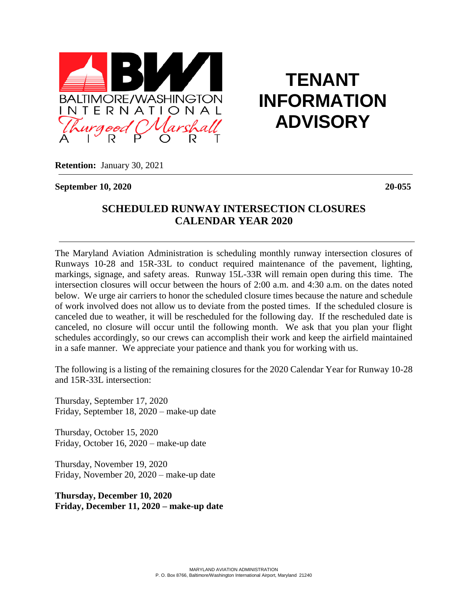

## **TENANT INFORMATION ADVISORY**

**Retention:** January 30, 2021

**September 10, 2020 20-055**

## **SCHEDULED RUNWAY INTERSECTION CLOSURES CALENDAR YEAR 2020**

 The Maryland Aviation Administration is scheduling monthly runway intersection closures of Runways 10-28 and 15R-33L to conduct required maintenance of the pavement, lighting, markings, signage, and safety areas. Runway 15L-33R will remain open during this time. The intersection closures will occur between the hours of 2:00 a.m. and 4:30 a.m. on the dates noted below. We urge air carriers to honor the scheduled closure times because the nature and schedule of work involved does not allow us to deviate from the posted times. If the scheduled closure is canceled due to weather, it will be rescheduled for the following day. If the rescheduled date is canceled, no closure will occur until the following month. We ask that you plan your flight schedules accordingly, so our crews can accomplish their work and keep the airfield maintained in a safe manner. We appreciate your patience and thank you for working with us.

The following is a listing of the remaining closures for the 2020 Calendar Year for Runway 10-28 and 15R-33L intersection:

Thursday, September 17, 2020 Friday, September 18, 2020 – make-up date

Thursday, October 15, 2020 Friday, October 16, 2020 – make-up date

Thursday, November 19, 2020 Friday, November 20, 2020 – make-up date

**Thursday, December 10, 2020 Friday, December 11, 2020 – make-up date**